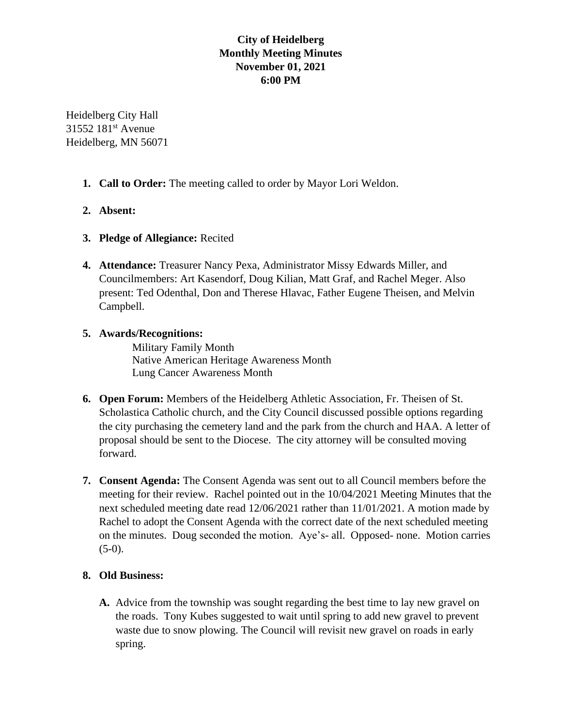# **City of Heidelberg Monthly Meeting Minutes November 01, 2021 6:00 PM**

Heidelberg City Hall 31552 181<sup>st</sup> Avenue Heidelberg, MN 56071

- **1. Call to Order:** The meeting called to order by Mayor Lori Weldon.
- **2. Absent:**
- **3. Pledge of Allegiance:** Recited
- **4. Attendance:** Treasurer Nancy Pexa, Administrator Missy Edwards Miller, and Councilmembers: Art Kasendorf, Doug Kilian, Matt Graf, and Rachel Meger. Also present: Ted Odenthal, Don and Therese Hlavac, Father Eugene Theisen, and Melvin Campbell.

### **5. Awards/Recognitions:**

Military Family Month Native American Heritage Awareness Month Lung Cancer Awareness Month

- **6. Open Forum:** Members of the Heidelberg Athletic Association, Fr. Theisen of St. Scholastica Catholic church, and the City Council discussed possible options regarding the city purchasing the cemetery land and the park from the church and HAA. A letter of proposal should be sent to the Diocese. The city attorney will be consulted moving forward.
- **7. Consent Agenda:** The Consent Agenda was sent out to all Council members before the meeting for their review. Rachel pointed out in the 10/04/2021 Meeting Minutes that the next scheduled meeting date read 12/06/2021 rather than 11/01/2021. A motion made by Rachel to adopt the Consent Agenda with the correct date of the next scheduled meeting on the minutes. Doug seconded the motion. Aye's- all. Opposed- none. Motion carries  $(5-0)$ .

# **8. Old Business:**

**A.** Advice from the township was sought regarding the best time to lay new gravel on the roads. Tony Kubes suggested to wait until spring to add new gravel to prevent waste due to snow plowing. The Council will revisit new gravel on roads in early spring.